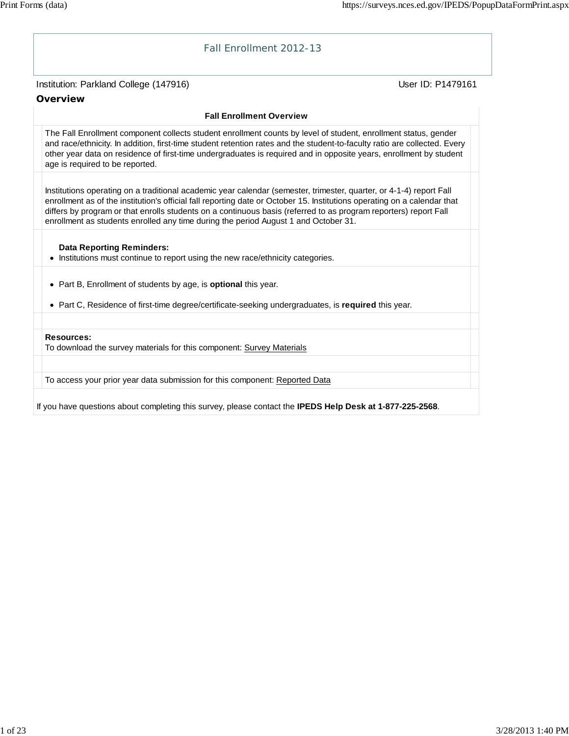# Institution: Parkland College (147916) November 2012 12: Physics User ID: P1479161 Fall Enrollment 2012-13 **Overview Fall Enrollment Overview** The Fall Enrollment component collects student enrollment counts by level of student, enrollment status, gender and race/ethnicity. In addition, first-time student retention rates and the student-to-faculty ratio are collected. Every other year data on residence of first-time undergraduates is required and in opposite years, enrollment by student age is required to be reported. Institutions operating on a traditional academic year calendar (semester, trimester, quarter, or 4-1-4) report Fall enrollment as of the institution's official fall reporting date or October 15. Institutions operating on a calendar that differs by program or that enrolls students on a continuous basis (referred to as program reporters) report Fall enrollment as students enrolled any time during the period August 1 and October 31. **Data Reporting Reminders:** • Institutions must continue to report using the new race/ethnicity categories. Part B, Enrollment of students by age, is **optional** this year. Part C, Residence of first-time degree/certificate-seeking undergraduates, is **required** this year. **Resources:** To download the survey materials for this component: Survey Materials To access your prior year data submission for this component: Reported Data

If you have questions about completing this survey, please contact the **IPEDS Help Desk at 1-877-225-2568**.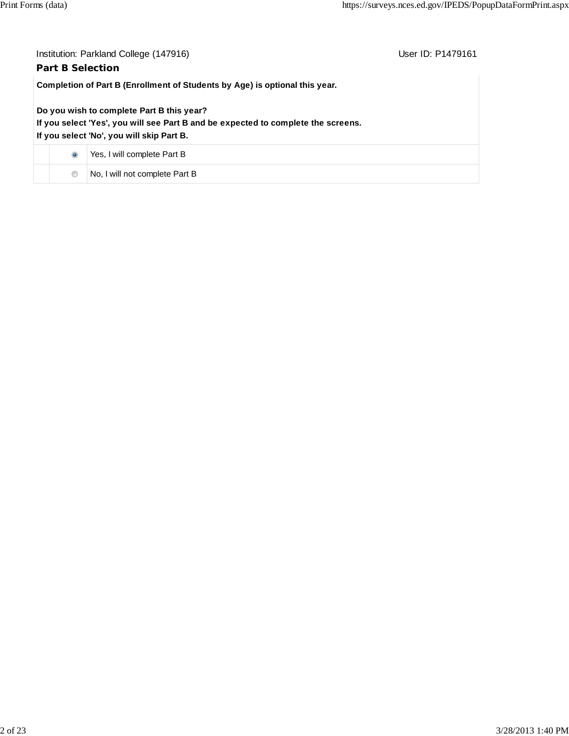| <b>Part B Selection</b> | Institution: Parkland College (147916)                                                                                                                                      | User ID: P1479161 |
|-------------------------|-----------------------------------------------------------------------------------------------------------------------------------------------------------------------------|-------------------|
|                         | Completion of Part B (Enrollment of Students by Age) is optional this year.                                                                                                 |                   |
|                         | Do you wish to complete Part B this year?<br>If you select 'Yes', you will see Part B and be expected to complete the screens.<br>If you select 'No', you will skip Part B. |                   |
| $\bullet$               | Yes, I will complete Part B                                                                                                                                                 |                   |
| $\circledcirc$          | No, I will not complete Part B                                                                                                                                              |                   |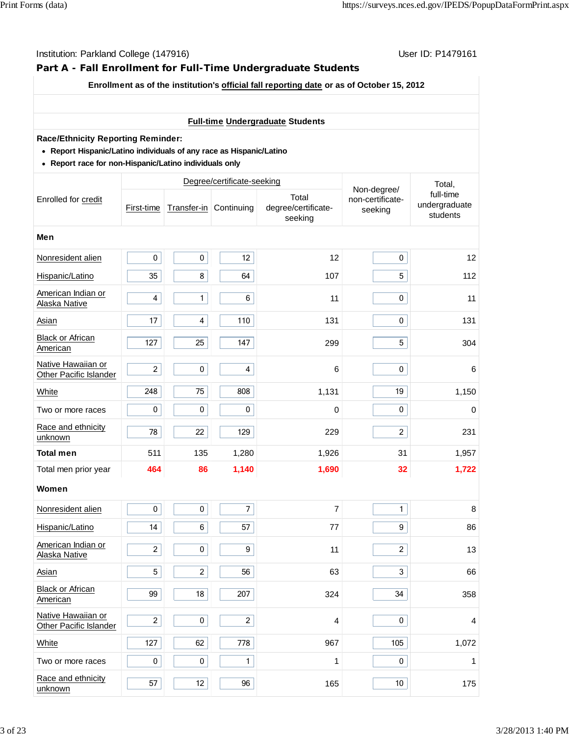## **Part A - Fall Enrollment for Full-Time Undergraduate Students**

#### **Enrollment as of the institution's official fall reporting date or as of October 15, 2012**

### **Full-time Undergraduate Students**

#### **Race/Ethnicity Reporting Reminder:**

- **Report Hispanic/Latino individuals of any race as Hispanic/Latino**
- **Report race for non-Hispanic/Latino individuals only**

|                                              |                         |                         | Degree/certificate-seeking |                                         |                                            | Total,<br>full-time<br>undergraduate<br>students |
|----------------------------------------------|-------------------------|-------------------------|----------------------------|-----------------------------------------|--------------------------------------------|--------------------------------------------------|
| Enrolled for credit                          | First-time              |                         | Transfer-in Continuing     | Total<br>degree/certificate-<br>seeking | Non-degree/<br>non-certificate-<br>seeking |                                                  |
| Men                                          |                         |                         |                            |                                         |                                            |                                                  |
| Nonresident alien                            | $\pmb{0}$               | $\pmb{0}$               | 12                         | 12                                      | $\mathbf 0$                                | 12                                               |
| Hispanic/Latino                              | 35                      | 8                       | 64                         | 107                                     | 5                                          | 112                                              |
| American Indian or<br>Alaska Native          | $\overline{\mathbf{4}}$ | $\mathbf{1}$            | 6                          | 11                                      | $\pmb{0}$                                  | 11                                               |
| Asian                                        | 17                      | $\overline{\mathbf{4}}$ | 110                        | 131                                     | $\pmb{0}$                                  | 131                                              |
| Black or African<br>American                 | 127                     | 25                      | 147                        | 299                                     | 5                                          | 304                                              |
| Native Hawaiian or<br>Other Pacific Islander | $\overline{c}$          | $\pmb{0}$               | $\overline{\mathbf{4}}$    | 6                                       | 0                                          | $\,6$                                            |
| White                                        | 248                     | 75                      | 808                        | 1,131                                   | 19                                         | 1,150                                            |
| Two or more races                            | $\pmb{0}$               | $\pmb{0}$               | 0                          | 0                                       | $\pmb{0}$                                  | $\pmb{0}$                                        |
| Race and ethnicity<br>unknown                | 78                      | 22                      | 129                        | 229                                     | $\overline{2}$                             | 231                                              |
| <b>Total men</b>                             | 511                     | 135                     | 1,280                      | 1,926                                   | 31                                         | 1,957                                            |
| Total men prior year                         | 464                     | 86                      | 1,140                      | 1,690                                   | 32                                         | 1,722                                            |
| Women                                        |                         |                         |                            |                                         |                                            |                                                  |
| Nonresident alien                            | $\pmb{0}$               | $\pmb{0}$               | $\overline{7}$             | 7                                       | $\mathbf{1}$                               | $\bf 8$                                          |
| Hispanic/Latino                              | 14                      | 6                       | 57                         | 77                                      | 9                                          | 86                                               |
| American Indian or<br>Alaska Native          | $\overline{c}$          | $\pmb{0}$               | 9                          | 11                                      | $\overline{2}$                             | 13                                               |
| Asian                                        | 5                       | $\overline{c}$          | 56                         | 63                                      | 3                                          | 66                                               |
| <b>Black or African</b><br>American          | 99                      | 18                      | 207                        | 324                                     | 34                                         | 358                                              |
| Native Hawaiian or<br>Other Pacific Islander | $\overline{c}$          | $\pmb{0}$               | $\overline{c}$             | 4                                       | $\mathbf 0$                                | 4                                                |
| White                                        | 127                     | 62                      | 778                        | 967                                     | 105                                        | 1,072                                            |
| Two or more races                            | $\pmb{0}$               | $\pmb{0}$               | $\mathbf{1}$               | 1                                       | $\pmb{0}$                                  | 1                                                |
| Race and ethnicity<br>unknown                | 57                      | 12                      | 96                         | 165                                     | 10                                         | 175                                              |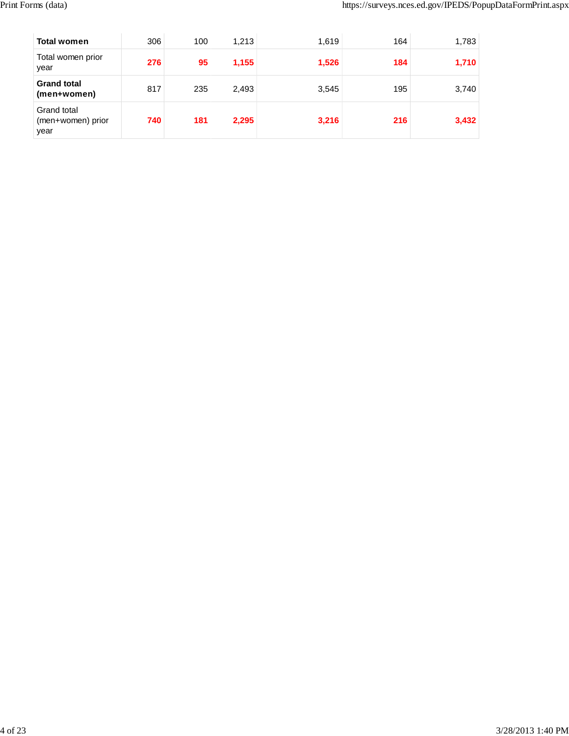| <b>Total women</b>                       | 306 | 100 | 1,213 | 1,619 | 164 | 1,783 |
|------------------------------------------|-----|-----|-------|-------|-----|-------|
| Total women prior<br>year                | 276 | 95  | 1,155 | 1,526 | 184 | 1,710 |
| <b>Grand total</b><br>(men+women)        | 817 | 235 | 2,493 | 3,545 | 195 | 3,740 |
| Grand total<br>(men+women) prior<br>year | 740 | 181 | 2,295 | 3,216 | 216 | 3,432 |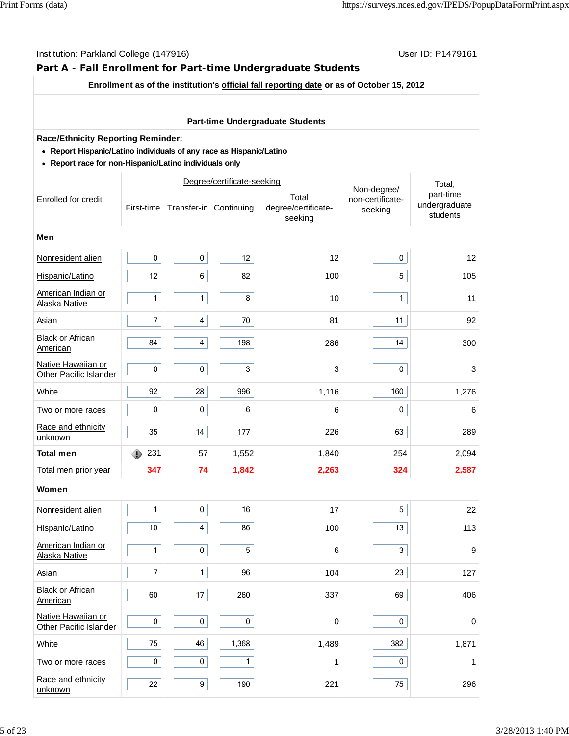## **Part A - Fall Enrollment for Part-time Undergraduate Students**

#### **Enrollment as of the institution's official fall reporting date or as of October 15, 2012**

## **Part-time Undergraduate Students**

#### **Race/Ethnicity Reporting Reminder:**

- **Report Hispanic/Latino individuals of any race as Hispanic/Latino**
- **Report race for non-Hispanic/Latino individuals only**

|                                                     |                  | Degree/certificate-seeking |                        |                                         |                                            | Total,                                 |  |
|-----------------------------------------------------|------------------|----------------------------|------------------------|-----------------------------------------|--------------------------------------------|----------------------------------------|--|
| Enrolled for credit                                 | First-time       |                            | Transfer-in Continuing | Total<br>degree/certificate-<br>seeking | Non-degree/<br>non-certificate-<br>seeking | part-time<br>undergraduate<br>students |  |
| Men                                                 |                  |                            |                        |                                         |                                            |                                        |  |
| Nonresident alien                                   | $\pmb{0}$        | $\pmb{0}$                  | 12                     | 12                                      | $\pmb{0}$                                  | 12                                     |  |
| Hispanic/Latino                                     | 12               | 6                          | 82                     | 100                                     | 5                                          | 105                                    |  |
| American Indian or<br>Alaska Native                 | $\mathbf{1}$     | $\mathbf{1}$               | 8                      | 10                                      | $\mathbf{1}$                               | 11                                     |  |
| <b>Asian</b>                                        | $\boldsymbol{7}$ | $\overline{\mathbf{4}}$    | 70                     | 81                                      | 11                                         | 92                                     |  |
| <b>Black or African</b><br>American                 | 84               | $\overline{\mathbf{4}}$    | 198                    | 286                                     | 14                                         | 300                                    |  |
| Native Hawaiian or<br>Other Pacific Islander        | $\pmb{0}$        | $\pmb{0}$                  | $\mathfrak{S}$         | 3                                       | $\pmb{0}$                                  | 3                                      |  |
| White                                               | 92               | 28                         | 996                    | 1,116                                   | 160                                        | 1,276                                  |  |
| Two or more races                                   | $\pmb{0}$        | $\pmb{0}$                  | 6                      | 6                                       | $\mathbf 0$                                | 6                                      |  |
| Race and ethnicity<br>unknown                       | 35               | 14                         | 177                    | 226                                     | 63                                         | 289                                    |  |
| <b>Total men</b>                                    | 231<br>Ô         | 57                         | 1,552                  | 1,840                                   | 254                                        | 2,094                                  |  |
| Total men prior year                                | 347              | 74                         | 1,842                  | 2,263                                   | 324                                        | 2,587                                  |  |
| Women                                               |                  |                            |                        |                                         |                                            |                                        |  |
| Nonresident alien                                   | $\mathbf{1}$     | $\pmb{0}$                  | 16                     | 17                                      | 5                                          | 22                                     |  |
| Hispanic/Latino                                     | 10               | $\overline{\mathbf{4}}$    | 86                     | 100                                     | 13                                         | 113                                    |  |
| American Indian or<br><b>Alaska Native</b>          | $\mathbf{1}$     | $\pmb{0}$                  | 5                      | 6                                       | 3                                          | $\boldsymbol{9}$                       |  |
| Asian                                               | $\boldsymbol{7}$ | $\mathbf{1}$               | 96                     | 104                                     | 23                                         | 127                                    |  |
| <b>Black or African</b><br>American                 | 60               | 17                         | 260                    | 337                                     | 69                                         | 406                                    |  |
| Native Hawaiian or<br><b>Other Pacific Islander</b> | $\pmb{0}$        | $\mathbf 0$                | $\mathbf 0$            | $\pmb{0}$                               | $\mathbf 0$                                | 0                                      |  |
| White                                               | 75               | 46                         | 1,368                  | 1,489                                   | 382                                        | 1,871                                  |  |
| Two or more races                                   | $\pmb{0}$        | 0                          | $\mathbf{1}$           | 1                                       | $\pmb{0}$                                  | 1                                      |  |
| Race and ethnicity<br>unknown                       | 22               | 9                          | 190                    | 221                                     | 75                                         | 296                                    |  |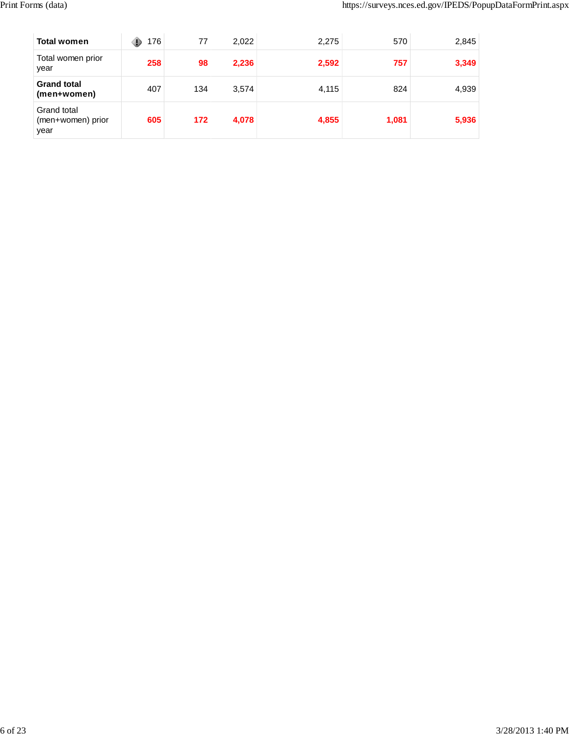| <b>Total women</b>                       | 176 | 77  | 2,022 | 2,275 | 570   | 2,845 |
|------------------------------------------|-----|-----|-------|-------|-------|-------|
| Total women prior<br>year                | 258 | 98  | 2,236 | 2,592 | 757   | 3,349 |
| <b>Grand total</b><br>(men+women)        | 407 | 134 | 3,574 | 4,115 | 824   | 4,939 |
| Grand total<br>(men+women) prior<br>year | 605 | 172 | 4,078 | 4,855 | 1,081 | 5,936 |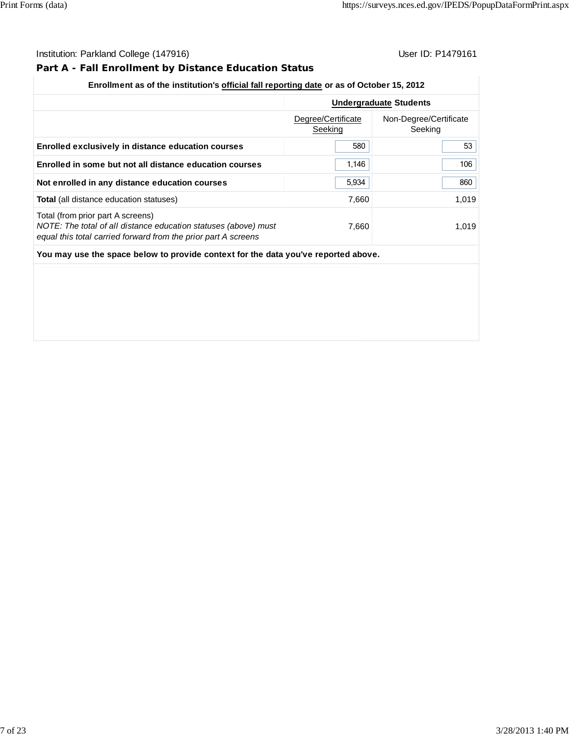## **Part A - Fall Enrollment by Distance Education Status**

## **Enrollment as of the institution's official fall reporting date or as of October 15, 2012**

|                                                                                                                                                                        |                               | <b>Undergraduate Students</b>     |
|------------------------------------------------------------------------------------------------------------------------------------------------------------------------|-------------------------------|-----------------------------------|
|                                                                                                                                                                        | Degree/Certificate<br>Seeking | Non-Degree/Certificate<br>Seeking |
| Enrolled exclusively in distance education courses                                                                                                                     | 580                           | 53                                |
| Enrolled in some but not all distance education courses                                                                                                                | 1,146                         | 106                               |
| Not enrolled in any distance education courses                                                                                                                         | 5,934                         | 860                               |
| Total (all distance education statuses)                                                                                                                                | 7,660                         | 1,019                             |
| Total (from prior part A screens)<br>NOTE: The total of all distance education statuses (above) must<br>equal this total carried forward from the prior part A screens | 7,660                         | 1,019                             |
| You may use the space below to provide context for the data you've reported above.                                                                                     |                               |                                   |
|                                                                                                                                                                        |                               |                                   |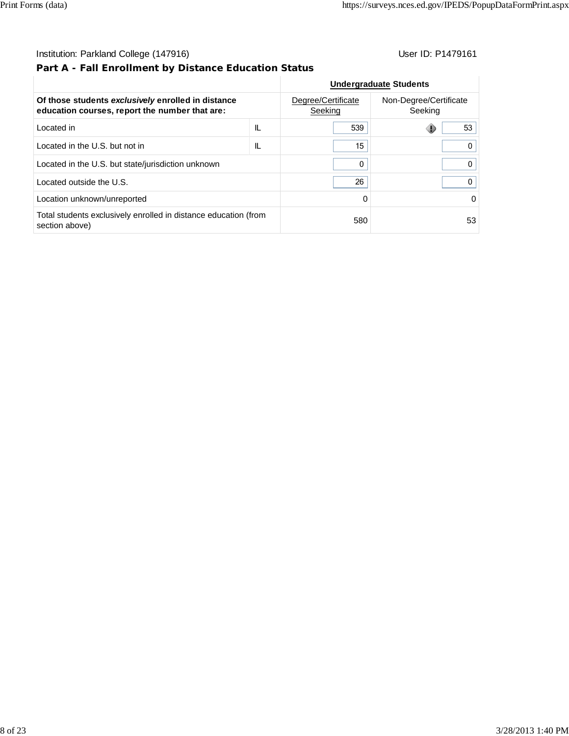## **Part A - Fall Enrollment by Distance Education Status**

|                                                                                                      | <b>Undergraduate Students</b> |                                   |    |
|------------------------------------------------------------------------------------------------------|-------------------------------|-----------------------------------|----|
| Of those students exclusively enrolled in distance<br>education courses, report the number that are: | Degree/Certificate<br>Seeking | Non-Degree/Certificate<br>Seeking |    |
| Located in                                                                                           | IL                            | 539                               | 53 |
| Located in the U.S. but not in                                                                       | IL                            | 15                                | 0  |
| Located in the U.S. but state/jurisdiction unknown                                                   | 0                             | 0                                 |    |
| Located outside the U.S.                                                                             |                               | 26                                | 0  |
| Location unknown/unreported                                                                          |                               | $\Omega$                          | 0  |
| Total students exclusively enrolled in distance education (from<br>section above)                    |                               | 580                               | 53 |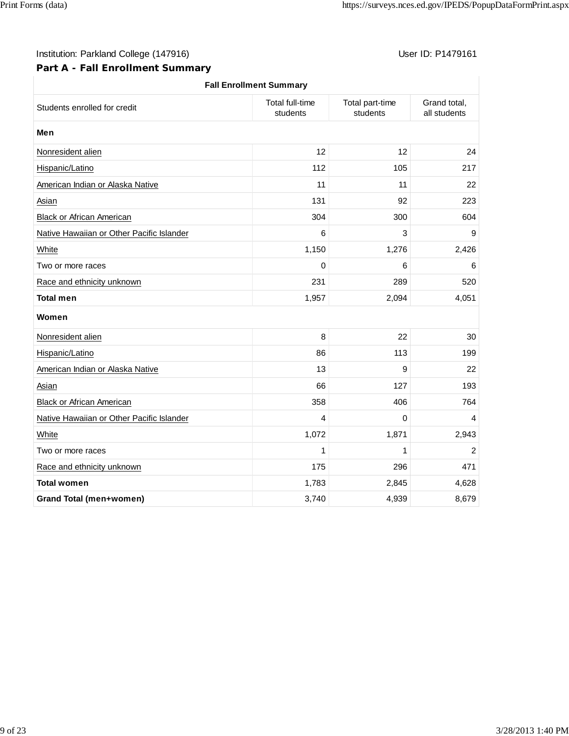## **Part A - Fall Enrollment Summary**

| <b>Fall Enrollment Summary</b>            |                                    |                             |                              |
|-------------------------------------------|------------------------------------|-----------------------------|------------------------------|
| Students enrolled for credit              | <b>Total full-time</b><br>students | Total part-time<br>students | Grand total,<br>all students |
| Men                                       |                                    |                             |                              |
| Nonresident alien                         | 12                                 | 12                          | 24                           |
| Hispanic/Latino                           | 112                                | 105                         | 217                          |
| American Indian or Alaska Native          | 11                                 | 11                          | 22                           |
| <b>Asian</b>                              | 131                                | 92                          | 223                          |
| <b>Black or African American</b>          | 304                                | 300                         | 604                          |
| Native Hawaiian or Other Pacific Islander | 6                                  | 3                           | 9                            |
| White                                     | 1,150                              | 1,276                       | 2,426                        |
| Two or more races                         | 0                                  | 6                           | 6                            |
| Race and ethnicity unknown                | 231                                | 289                         | 520                          |
| <b>Total men</b>                          | 1,957                              | 2,094                       | 4,051                        |
| Women                                     |                                    |                             |                              |
| Nonresident alien                         | 8                                  | 22                          | 30                           |
| Hispanic/Latino                           | 86                                 | 113                         | 199                          |
| American Indian or Alaska Native          | 13                                 | 9                           | 22                           |
| Asian                                     | 66                                 | 127                         | 193                          |
| Black or African American                 | 358                                | 406                         | 764                          |
| Native Hawaiian or Other Pacific Islander | 4                                  | $\Omega$                    | 4                            |
| White                                     | 1,072                              | 1,871                       | 2,943                        |
| Two or more races                         | 1                                  | 1                           | 2                            |
| Race and ethnicity unknown                | 175                                | 296                         | 471                          |
| <b>Total women</b>                        | 1,783                              | 2,845                       | 4,628                        |
| <b>Grand Total (men+women)</b>            | 3,740                              | 4,939                       | 8,679                        |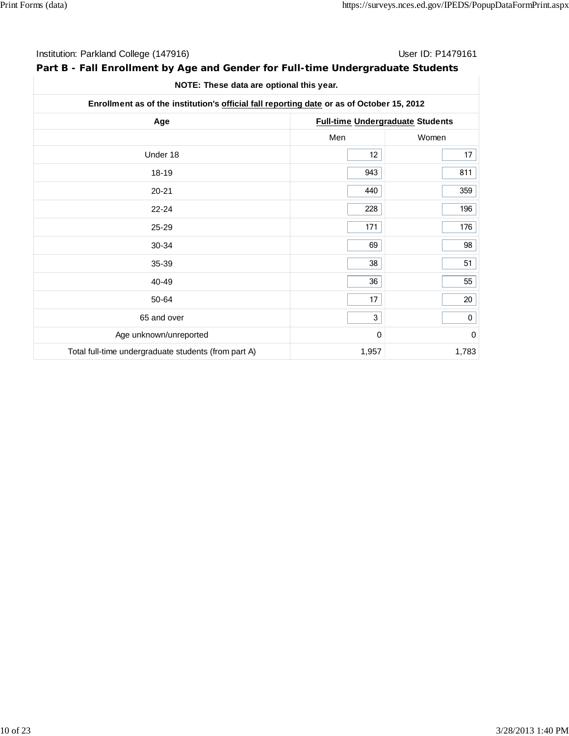| Institution: Parkland College (147916) | User ID: P1479161 |
|----------------------------------------|-------------------|
|                                        |                   |

## **Part B - Fall Enrollment by Age and Gender for Full-time Undergraduate Students**

| NOTE: These data are optional this year. |  |
|------------------------------------------|--|
|------------------------------------------|--|

| Enrollment as of the institution's official fall reporting date or as of October 15, 2012 |                                         |             |  |  |
|-------------------------------------------------------------------------------------------|-----------------------------------------|-------------|--|--|
| Age                                                                                       | <b>Full-time Undergraduate Students</b> |             |  |  |
|                                                                                           | Men                                     | Women       |  |  |
| Under 18                                                                                  | 12                                      | 17          |  |  |
| 18-19                                                                                     | 943                                     | 811         |  |  |
| $20 - 21$                                                                                 | 440                                     | 359         |  |  |
| $22 - 24$                                                                                 | 228                                     | 196         |  |  |
| 25-29                                                                                     | 171                                     | 176         |  |  |
| 30-34                                                                                     | 69                                      | 98          |  |  |
| 35-39                                                                                     | 38                                      | 51          |  |  |
| 40-49                                                                                     | 36                                      | 55          |  |  |
| 50-64                                                                                     | 17                                      | 20          |  |  |
| 65 and over                                                                               | 3                                       | $\pmb{0}$   |  |  |
| Age unknown/unreported                                                                    | 0                                       | $\mathbf 0$ |  |  |
| Total full-time undergraduate students (from part A)                                      | 1,957                                   | 1,783       |  |  |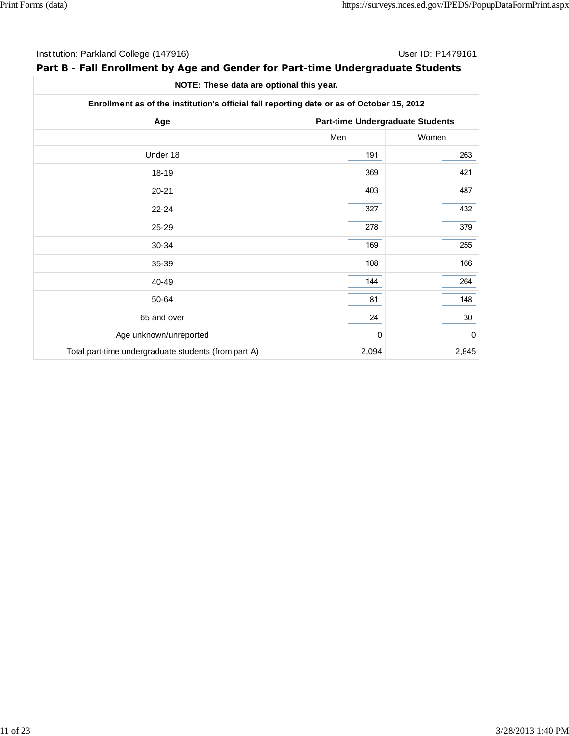| Institution: Parkland College (147916) |
|----------------------------------------|
|                                        |

## User ID: P1479161

## **Part B - Fall Enrollment by Age and Gender for Part-time Undergraduate Students**

**NOTE: These data are optional this year.**

| Enrollment as of the institution's official fall reporting date or as of October 15, 2012 |       |                                         |
|-------------------------------------------------------------------------------------------|-------|-----------------------------------------|
| Age                                                                                       |       | <b>Part-time Undergraduate Students</b> |
|                                                                                           | Men   | Women                                   |
| Under 18                                                                                  | 191   | 263                                     |
| 18-19                                                                                     | 369   | 421                                     |
| $20 - 21$                                                                                 | 403   | 487                                     |
| $22 - 24$                                                                                 | 327   | 432                                     |
| 25-29                                                                                     | 278   | 379                                     |
| 30-34                                                                                     | 169   | 255                                     |
| 35-39                                                                                     | 108   | 166                                     |
| 40-49                                                                                     | 144   | 264                                     |
| 50-64                                                                                     | 81    | 148                                     |
| 65 and over                                                                               | 24    | 30 <sub>o</sub>                         |
| Age unknown/unreported                                                                    | 0     | 0                                       |
| Total part-time undergraduate students (from part A)                                      | 2,094 | 2,845                                   |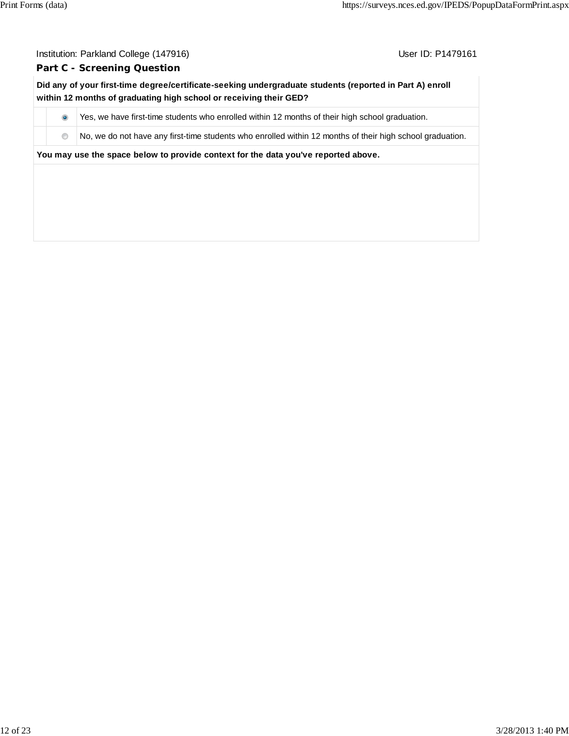#### **Part C - Screening Question**

**Did any of your first-time degree/certificate-seeking undergraduate students (reported in Part A) enroll within 12 months of graduating high school or receiving their GED?**

 $\bullet$  Yes, we have first-time students who enrolled within 12 months of their high school graduation.

 $\bullet$  No, we do not have any first-time students who enrolled within 12 months of their high school graduation.

**You may use the space below to provide context for the data you've reported above.**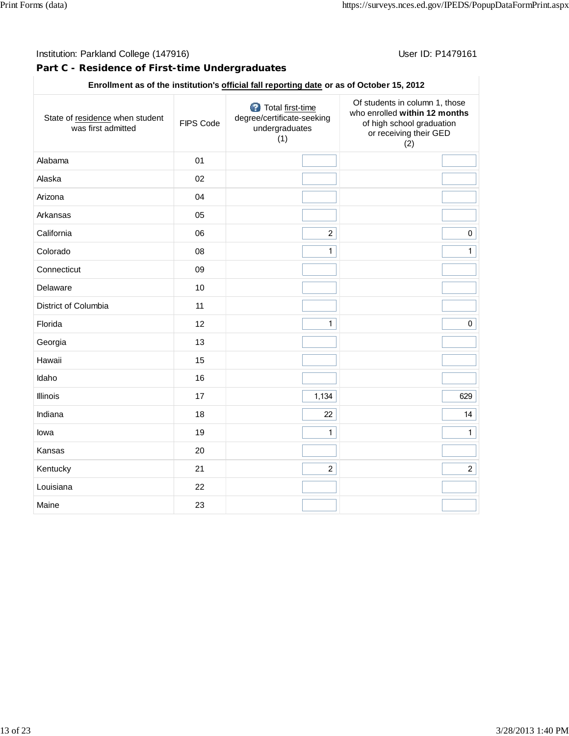## **Part C - Residence of First-time Undergraduates**

## **Enrollment as of the institution's official fall reporting date or as of October 15, 2012**

| State of residence when student<br>was first admitted | FIPS Code | Total first-time<br>degree/certificate-seeking<br>undergraduates<br>(1) | Of students in column 1, those<br>who enrolled within 12 months<br>of high school graduation<br>or receiving their GED<br>(2) |
|-------------------------------------------------------|-----------|-------------------------------------------------------------------------|-------------------------------------------------------------------------------------------------------------------------------|
| Alabama                                               | 01        |                                                                         |                                                                                                                               |
| Alaska                                                | 02        |                                                                         |                                                                                                                               |
| Arizona                                               | 04        |                                                                         |                                                                                                                               |
| Arkansas                                              | 05        |                                                                         |                                                                                                                               |
| California                                            | 06        | $\overline{2}$                                                          | $\pmb{0}$                                                                                                                     |
| Colorado                                              | 08        | $\mathbf{1}$                                                            | $\mathbf{1}$                                                                                                                  |
| Connecticut                                           | 09        |                                                                         |                                                                                                                               |
| Delaware                                              | 10        |                                                                         |                                                                                                                               |
| District of Columbia                                  | 11        |                                                                         |                                                                                                                               |
| Florida                                               | 12        | $\mathbf{1}$                                                            | $\pmb{0}$                                                                                                                     |
| Georgia                                               | 13        |                                                                         |                                                                                                                               |
| Hawaii                                                | 15        |                                                                         |                                                                                                                               |
| Idaho                                                 | 16        |                                                                         |                                                                                                                               |
| Illinois                                              | 17        | 1,134                                                                   | 629                                                                                                                           |
| Indiana                                               | 18        | 22                                                                      | 14                                                                                                                            |
| lowa                                                  | 19        | $\mathbf{1}$                                                            | $\mathbf{1}$                                                                                                                  |
| Kansas                                                | 20        |                                                                         |                                                                                                                               |
| Kentucky                                              | 21        | $\overline{2}$                                                          | $\overline{2}$                                                                                                                |
| Louisiana                                             | 22        |                                                                         |                                                                                                                               |
| Maine                                                 | 23        |                                                                         |                                                                                                                               |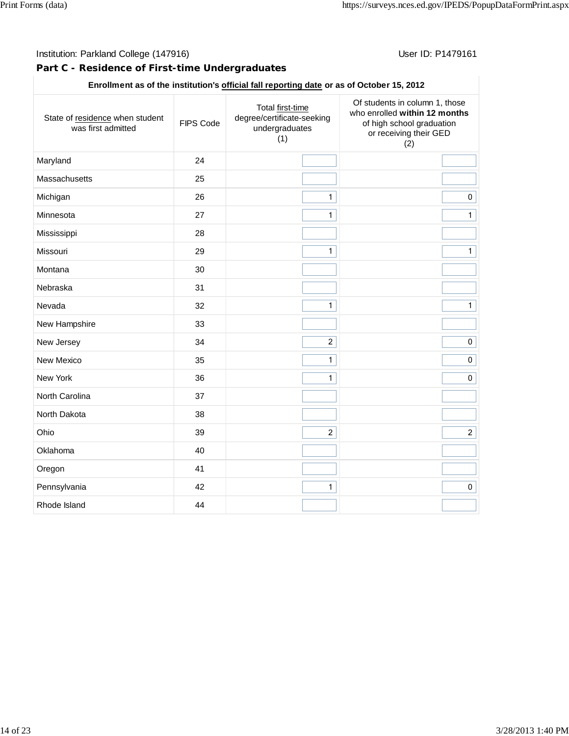## **Part C - Residence of First-time Undergraduates**

#### **Enrollment as of the institution's official fall reporting date or as of October 15, 2012**

| State of residence when student<br>was first admitted | FIPS Code | Total first-time<br>degree/certificate-seeking<br>undergraduates<br>(1) | Of students in column 1, those<br>who enrolled within 12 months<br>of high school graduation<br>or receiving their GED<br>(2) |
|-------------------------------------------------------|-----------|-------------------------------------------------------------------------|-------------------------------------------------------------------------------------------------------------------------------|
| Maryland                                              | 24        |                                                                         |                                                                                                                               |
| Massachusetts                                         | 25        |                                                                         |                                                                                                                               |
| Michigan                                              | 26        | $\mathbf{1}$                                                            | $\pmb{0}$                                                                                                                     |
| Minnesota                                             | 27        | $\mathbf{1}$                                                            | $\mathbf{1}$                                                                                                                  |
| Mississippi                                           | 28        |                                                                         |                                                                                                                               |
| Missouri                                              | 29        | $\mathbf{1}$                                                            | $\overline{1}$                                                                                                                |
| Montana                                               | 30        |                                                                         |                                                                                                                               |
| Nebraska                                              | 31        |                                                                         |                                                                                                                               |
| Nevada                                                | 32        | $\mathbf{1}$                                                            | $\mathbf{1}$                                                                                                                  |
| New Hampshire                                         | 33        |                                                                         |                                                                                                                               |
| New Jersey                                            | 34        | $\overline{c}$                                                          | $\pmb{0}$                                                                                                                     |
| New Mexico                                            | 35        | $\mathbf{1}$                                                            | $\pmb{0}$                                                                                                                     |
| New York                                              | 36        | $\mathbf{1}$                                                            | $\pmb{0}$                                                                                                                     |
| North Carolina                                        | 37        |                                                                         |                                                                                                                               |
| North Dakota                                          | 38        |                                                                         |                                                                                                                               |
| Ohio                                                  | 39        | $\overline{2}$                                                          | $\overline{2}$                                                                                                                |
| Oklahoma                                              | 40        |                                                                         |                                                                                                                               |
| Oregon                                                | 41        |                                                                         |                                                                                                                               |
| Pennsylvania                                          | 42        | $\mathbf{1}$                                                            | $\pmb{0}$                                                                                                                     |
| Rhode Island                                          | 44        |                                                                         |                                                                                                                               |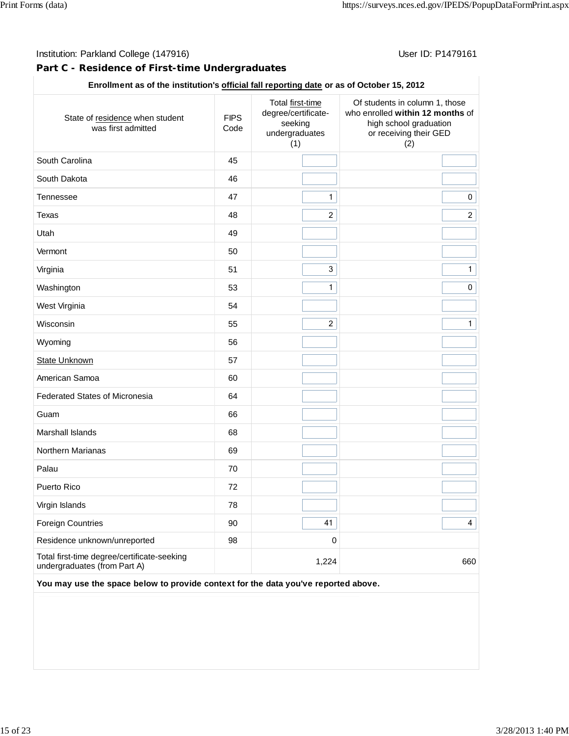#### Institution: Parkland College (147916) Contract College (147916)

#### **Part C - Residence of First-time Undergraduates**

## **Enrollment as of the institution's official fall reporting date or as of October 15, 2012**

| State of residence when student<br>was first admitted                       | <b>FIPS</b><br>Code | Total first-time<br>degree/certificate-<br>seeking<br>undergraduates<br>(1) | Of students in column 1, those<br>who enrolled within 12 months of<br>high school graduation<br>or receiving their GED<br>(2) |
|-----------------------------------------------------------------------------|---------------------|-----------------------------------------------------------------------------|-------------------------------------------------------------------------------------------------------------------------------|
| South Carolina                                                              | 45                  |                                                                             |                                                                                                                               |
| South Dakota                                                                | 46                  |                                                                             |                                                                                                                               |
| Tennessee                                                                   | 47                  | $\mathbf{1}$                                                                | $\mathbf 0$                                                                                                                   |
| Texas                                                                       | 48                  | $\overline{2}$                                                              | $\overline{2}$                                                                                                                |
| Utah                                                                        | 49                  |                                                                             |                                                                                                                               |
| Vermont                                                                     | 50                  |                                                                             |                                                                                                                               |
| Virginia                                                                    | 51                  | $\overline{3}$                                                              | $\overline{1}$                                                                                                                |
| Washington                                                                  | 53                  | $\mathbf{1}$                                                                | $\pmb{0}$                                                                                                                     |
| West Virginia                                                               | 54                  |                                                                             |                                                                                                                               |
| Wisconsin                                                                   | 55                  | $\overline{2}$                                                              | $\mathbf{1}$                                                                                                                  |
| Wyoming                                                                     | 56                  |                                                                             |                                                                                                                               |
| State Unknown                                                               | 57                  |                                                                             |                                                                                                                               |
| American Samoa                                                              | 60                  |                                                                             |                                                                                                                               |
| <b>Federated States of Micronesia</b>                                       | 64                  |                                                                             |                                                                                                                               |
| Guam                                                                        | 66                  |                                                                             |                                                                                                                               |
| Marshall Islands                                                            | 68                  |                                                                             |                                                                                                                               |
| Northern Marianas                                                           | 69                  |                                                                             |                                                                                                                               |
| Palau                                                                       | 70                  |                                                                             |                                                                                                                               |
| Puerto Rico                                                                 | 72                  |                                                                             |                                                                                                                               |
| Virgin Islands                                                              | 78                  |                                                                             |                                                                                                                               |
| Foreign Countries                                                           | 90                  | 41                                                                          | $\overline{4}$                                                                                                                |
| Residence unknown/unreported                                                | 98                  | $\mathbf 0$                                                                 |                                                                                                                               |
| Total first-time degree/certificate-seeking<br>undergraduates (from Part A) |                     | 1,224                                                                       | 660                                                                                                                           |

**You may use the space below to provide context for the data you've reported above.**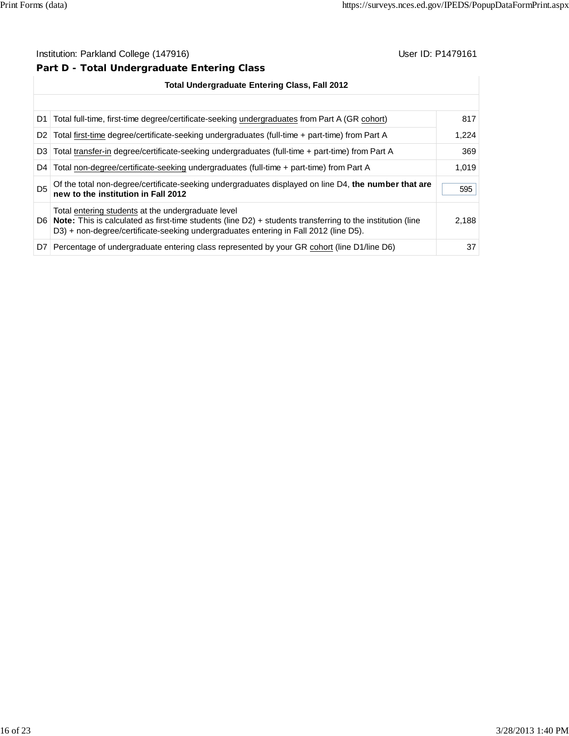## **Part D - Total Undergraduate Entering Class**

|                | <b>Total Undergraduate Entering Class, Fall 2012</b>                                                                                                                                                                                                             |       |  |  |  |
|----------------|------------------------------------------------------------------------------------------------------------------------------------------------------------------------------------------------------------------------------------------------------------------|-------|--|--|--|
|                |                                                                                                                                                                                                                                                                  |       |  |  |  |
|                | D1   Total full-time, first-time degree/certificate-seeking undergraduates from Part A (GR cohort)                                                                                                                                                               | 817   |  |  |  |
| D <sub>2</sub> | Total first-time degree/certificate-seeking undergraduates (full-time + part-time) from Part A                                                                                                                                                                   | 1,224 |  |  |  |
|                | D3 Total transfer-in degree/certificate-seeking undergraduates (full-time + part-time) from Part A                                                                                                                                                               | 369   |  |  |  |
| D4             | Total non-degree/certificate-seeking undergraduates (full-time + part-time) from Part A                                                                                                                                                                          | 1.019 |  |  |  |
| D <sub>5</sub> | Of the total non-degree/certificate-seeking undergraduates displayed on line D4, the number that are<br>new to the institution in Fall 2012                                                                                                                      | 595   |  |  |  |
|                | Total entering students at the undergraduate level<br>D6   Note: This is calculated as first-time students (line $D2$ ) + students transferring to the institution (line<br>D3) + non-degree/certificate-seeking undergraduates entering in Fall 2012 (line D5). | 2,188 |  |  |  |
| D7 I           | Percentage of undergraduate entering class represented by your GR cohort (line D1/line D6)                                                                                                                                                                       | 37    |  |  |  |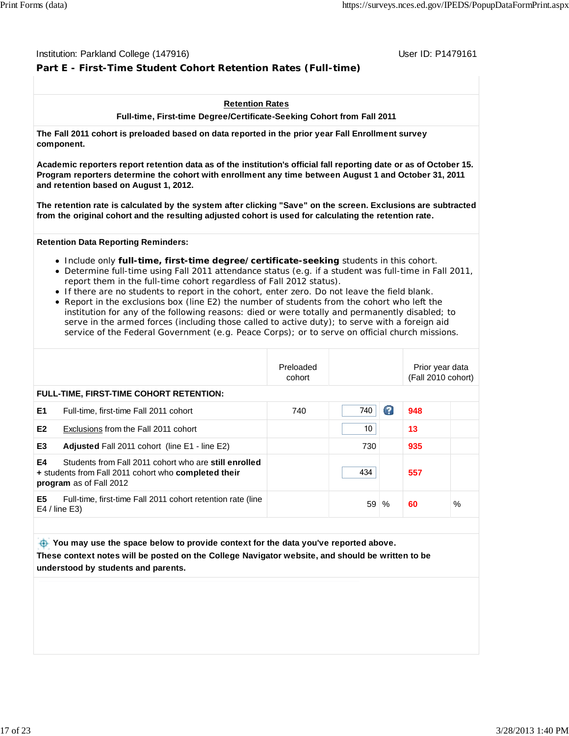#### Institution: Parkland College (147916) November 2012 12: Physics User ID: P1479161

## **Part E - First-Time Student Cohort Retention Rates (Full-time)**

#### **Retention Rates**

**Full-time, First-time Degree/Certificate-Seeking Cohort from Fall 2011**

**The Fall 2011 cohort is preloaded based on data reported in the prior year Fall Enrollment survey component.**

**Academic reporters report retention data as of the institution's official fall reporting date or as of October 15. Program reporters determine the cohort with enrollment any time between August 1 and October 31, 2011 and retention based on August 1, 2012.**

**The retention rate is calculated by the system after clicking "Save" on the screen. Exclusions are subtracted from the original cohort and the resulting adjusted cohort is used for calculating the retention rate.**

#### **Retention Data Reporting Reminders:**

- Include only **full-time, first-time degree/certificate-seeking** students in this cohort.
- Determine full-time using Fall 2011 attendance status (e.g. if a student was full-time in Fall 2011, report them in the full-time cohort regardless of Fall 2012 status).
- If there are no students to report in the cohort, enter zero. Do not leave the field blank.
- Report in the exclusions box (line E2) the number of students from the cohort who left the institution for any of the following reasons: died or were totally and permanently disabled; to serve in the armed forces (including those called to active duty); to serve with a foreign aid service of the Federal Government (e.g. Peace Corps); or to serve on official church missions.

|                                                                                                                                                | Preloaded<br>cohort |     |   | Prior year data<br>(Fall 2010 cohort) |      |
|------------------------------------------------------------------------------------------------------------------------------------------------|---------------------|-----|---|---------------------------------------|------|
| FULL-TIME, FIRST-TIME COHORT RETENTION:                                                                                                        |                     |     |   |                                       |      |
| E <sub>1</sub><br>Full-time, first-time Fall 2011 cohort                                                                                       | 740                 | 740 | B | 948                                   |      |
| E <sub>2</sub><br>Exclusions from the Fall 2011 cohort                                                                                         |                     | 10  |   | 13                                    |      |
| E <sub>3</sub><br><b>Adjusted Fall 2011 cohort (line E1 - line E2)</b>                                                                         |                     | 730 |   | 935                                   |      |
| E4<br>Students from Fall 2011 cohort who are still enrolled<br>+ students from Fall 2011 cohort who completed their<br>program as of Fall 2012 |                     | 434 |   | 557                                   |      |
| E <sub>5</sub><br>Full-time, first-time Fall 2011 cohort retention rate (line<br>$E4$ / line $E3$ )                                            |                     | 59  | % | 60                                    | $\%$ |

 **You may use the space below to provide context for the data you've reported above. These context notes will be posted on the College Navigator website, and should be written to be understood by students and parents.**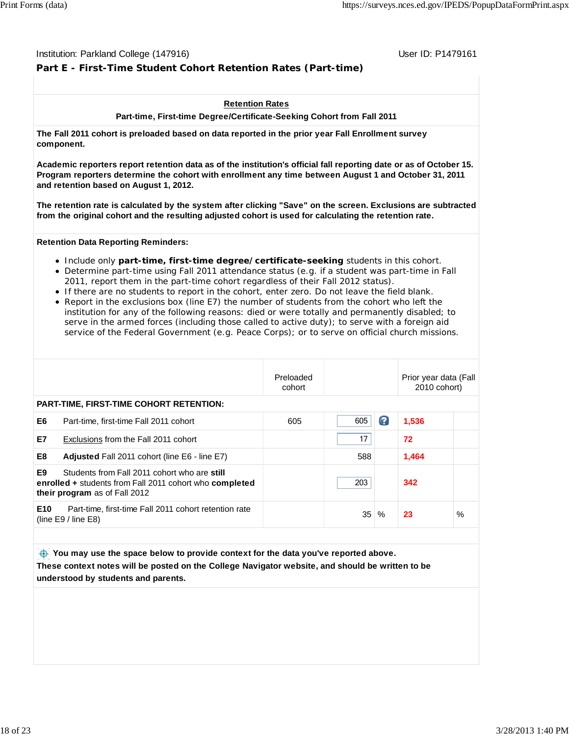#### Institution: Parkland College (147916) November 2012 12: Physics User ID: P1479161

## **Part E - First-Time Student Cohort Retention Rates (Part-time)**

#### **Retention Rates**

**Part-time, First-time Degree/Certificate-Seeking Cohort from Fall 2011**

**The Fall 2011 cohort is preloaded based on data reported in the prior year Fall Enrollment survey component.**

**Academic reporters report retention data as of the institution's official fall reporting date or as of October 15. Program reporters determine the cohort with enrollment any time between August 1 and October 31, 2011 and retention based on August 1, 2012.**

**The retention rate is calculated by the system after clicking "Save" on the screen. Exclusions are subtracted from the original cohort and the resulting adjusted cohort is used for calculating the retention rate.**

#### **Retention Data Reporting Reminders:**

- **Include only part-time, first-time degree/certificate-seeking** students in this cohort.
- Determine part-time using Fall 2011 attendance status (e.g. if a student was part-time in Fall 2011, report them in the part-time cohort regardless of their Fall 2012 status).
- If there are no students to report in the cohort, enter zero. Do not leave the field blank.
- Report in the exclusions box (line E7) the number of students from the cohort who left the institution for any of the following reasons: died or were totally and permanently disabled; to serve in the armed forces (including those called to active duty); to serve with a foreign aid service of the Federal Government (e.g. Peace Corps); or to serve on official church missions.

|                 |                                                                                                                                          | Preloaded<br>cohort |                 |    | Prior year data (Fall<br>2010 cohort) |   |
|-----------------|------------------------------------------------------------------------------------------------------------------------------------------|---------------------|-----------------|----|---------------------------------------|---|
|                 | <b>PART-TIME, FIRST-TIME COHORT RETENTION:</b>                                                                                           |                     |                 |    |                                       |   |
| E6              | Part-time, first-time Fall 2011 cohort                                                                                                   | 605                 | 605             | G. | 1,536                                 |   |
| E7              | Exclusions from the Fall 2011 cohort                                                                                                     |                     | 17              |    | 72                                    |   |
| E8              | <b>Adjusted Fall 2011 cohort (line E6 - line E7)</b>                                                                                     |                     | 588             |    | 1,464                                 |   |
| E9              | Students from Fall 2011 cohort who are still<br>enrolled + students from Fall 2011 cohort who completed<br>their program as of Fall 2012 |                     | 203             |    | 342                                   |   |
| E <sub>10</sub> | Part-time, first-time Fall 2011 cohort retention rate<br>(line $E9/$ line $E8$ )                                                         |                     | 35 <sup>1</sup> | %  | 23                                    | % |

 **You may use the space below to provide context for the data you've reported above. These context notes will be posted on the College Navigator website, and should be written to be understood by students and parents.**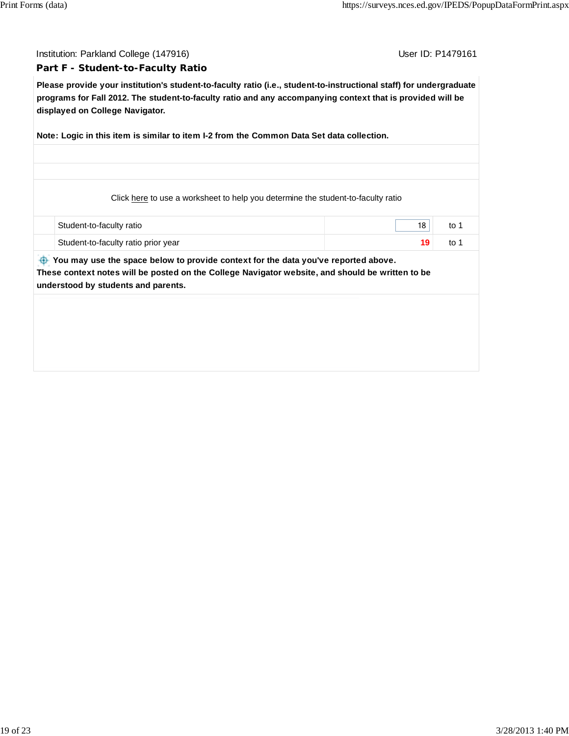Institution: Parkland College (147916) November 2012 12: Physics User ID: P1479161

#### **Part F - Student-to-Faculty Ratio**

**Please provide your institution's student-to-faculty ratio (i.e., student-to-instructional staff) for undergraduate programs for Fall 2012. The student-to-faculty ratio and any accompanying context that is provided will be displayed on College Navigator.**

**Note: Logic in this item is similar to item I-2 from the Common Data Set data collection.**

Click here to use a worksheet to help you determine the student-to-faculty ratio

 Student-to-faculty ratio 18 to 1 Student-to-faculty ratio prior year **19** to 1

 **You may use the space below to provide context for the data you've reported above. These context notes will be posted on the College Navigator website, and should be written to be understood by students and parents.**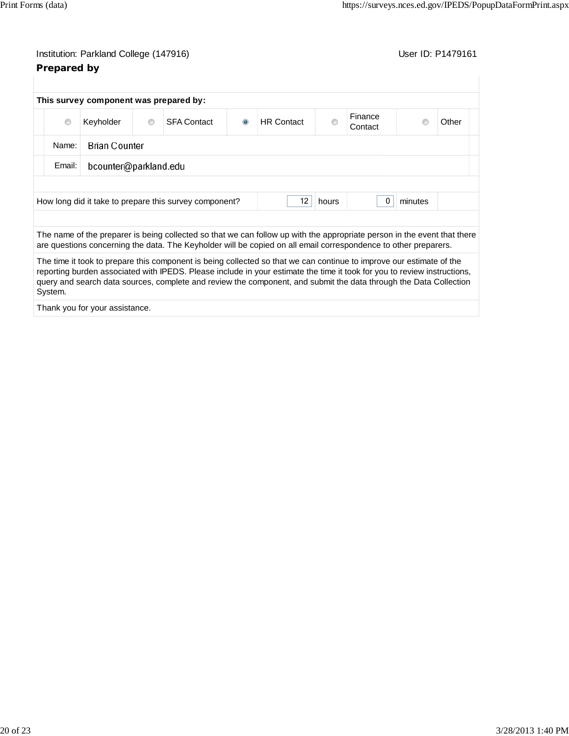| $\circledcirc$ | Keyholder             | $\circ$ | <b>SFA Contact</b>                                     | $\circledcirc$ | <b>HR</b> Contact | ∩     | Finance<br>Contact |         | Other |
|----------------|-----------------------|---------|--------------------------------------------------------|----------------|-------------------|-------|--------------------|---------|-------|
| Name:          | <b>Brian Counter</b>  |         |                                                        |                |                   |       |                    |         |       |
| Email:         | bcounter@parkland.edu |         |                                                        |                |                   |       |                    |         |       |
|                |                       |         | How long did it take to prepare this survey component? |                | 12                | hours |                    | minutes |       |
|                |                       |         |                                                        |                |                   |       |                    |         |       |

The time it took to prepare this component is being collected so that we can continue to improve our estimate of the reporting burden associated with IPEDS. Please include in your estimate the time it took for you to review instructions, query and search data sources, complete and review the component, and submit the data through the Data Collection

Thank you for your assistance.

System.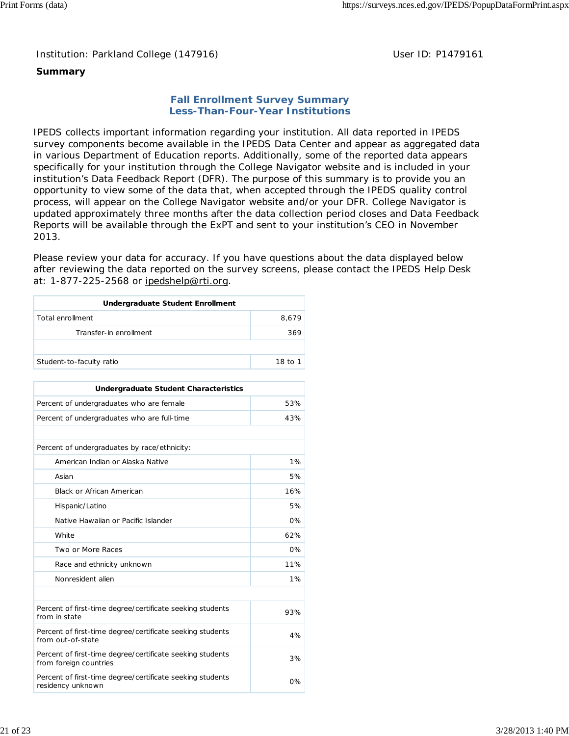Institution: Parkland College (147916) Noting the Muslim User ID: P1479161

## **Summary**

## **Fall Enrollment Survey Summary Less-Than-Four-Year Institutions**

IPEDS collects important information regarding your institution. All data reported in IPEDS survey components become available in the IPEDS Data Center and appear as aggregated data in various Department of Education reports. Additionally, some of the reported data appears specifically for your institution through the College Navigator website and is included in your institution's Data Feedback Report (DFR). The purpose of this summary is to provide you an opportunity to view some of the data that, when accepted through the IPEDS quality control process, will appear on the College Navigator website and/or your DFR. College Navigator is updated approximately three months after the data collection period closes and Data Feedback Reports will be available through the ExPT and sent to your institution's CEO in November 2013.

Please review your data for accuracy. If you have questions about the data displayed below after reviewing the data reported on the survey screens, please contact the IPEDS Help Desk at: 1-877-225-2568 or ipedshelp@rti.org.

| Undergraduate Student Enrollment |         |
|----------------------------------|---------|
| Total enrollment                 | 8,679   |
| Transfer-in enrollment           | 369     |
|                                  |         |
| Student-to-faculty ratio         | 18 to 1 |

| Undergraduate Student Characteristics                                               |       |
|-------------------------------------------------------------------------------------|-------|
| Percent of undergraduates who are female                                            | 53%   |
| Percent of undergraduates who are full-time                                         | 43%   |
|                                                                                     |       |
| Percent of undergraduates by race/ethnicity:                                        |       |
| American Indian or Alaska Native                                                    | 1%    |
| Asian                                                                               | 5%    |
| <b>Black or African American</b>                                                    | 16%   |
| Hispanic/Latino                                                                     | 5%    |
| Native Hawaiian or Pacific Islander                                                 | 0%    |
| White                                                                               | 62%   |
| Two or More Races                                                                   | 0%    |
| Race and ethnicity unknown                                                          | 11%   |
| Nonresident alien                                                                   | 1%    |
|                                                                                     |       |
| Percent of first-time degree/certificate seeking students<br>from in state          | 93%   |
| Percent of first-time degree/certificate seeking students<br>from out-of-state      | 4%    |
| Percent of first-time degree/certificate seeking students<br>from foreign countries | 3%    |
| Percent of first-time degree/certificate seeking students<br>residency unknown      | $0\%$ |
|                                                                                     |       |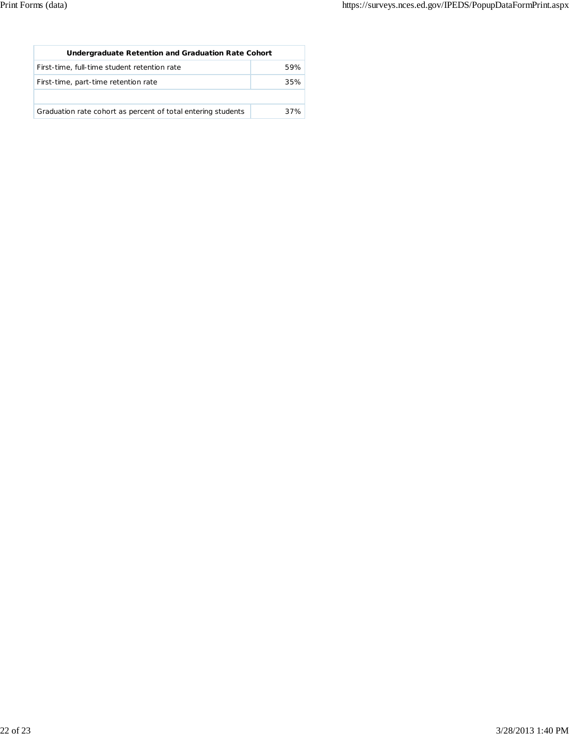| Undergraduate Retention and Graduation Rate Cohort           |     |
|--------------------------------------------------------------|-----|
| First-time, full-time student retention rate                 | 59% |
| First-time, part-time retention rate                         | 35% |
|                                                              |     |
| Graduation rate cohort as percent of total entering students | 37% |